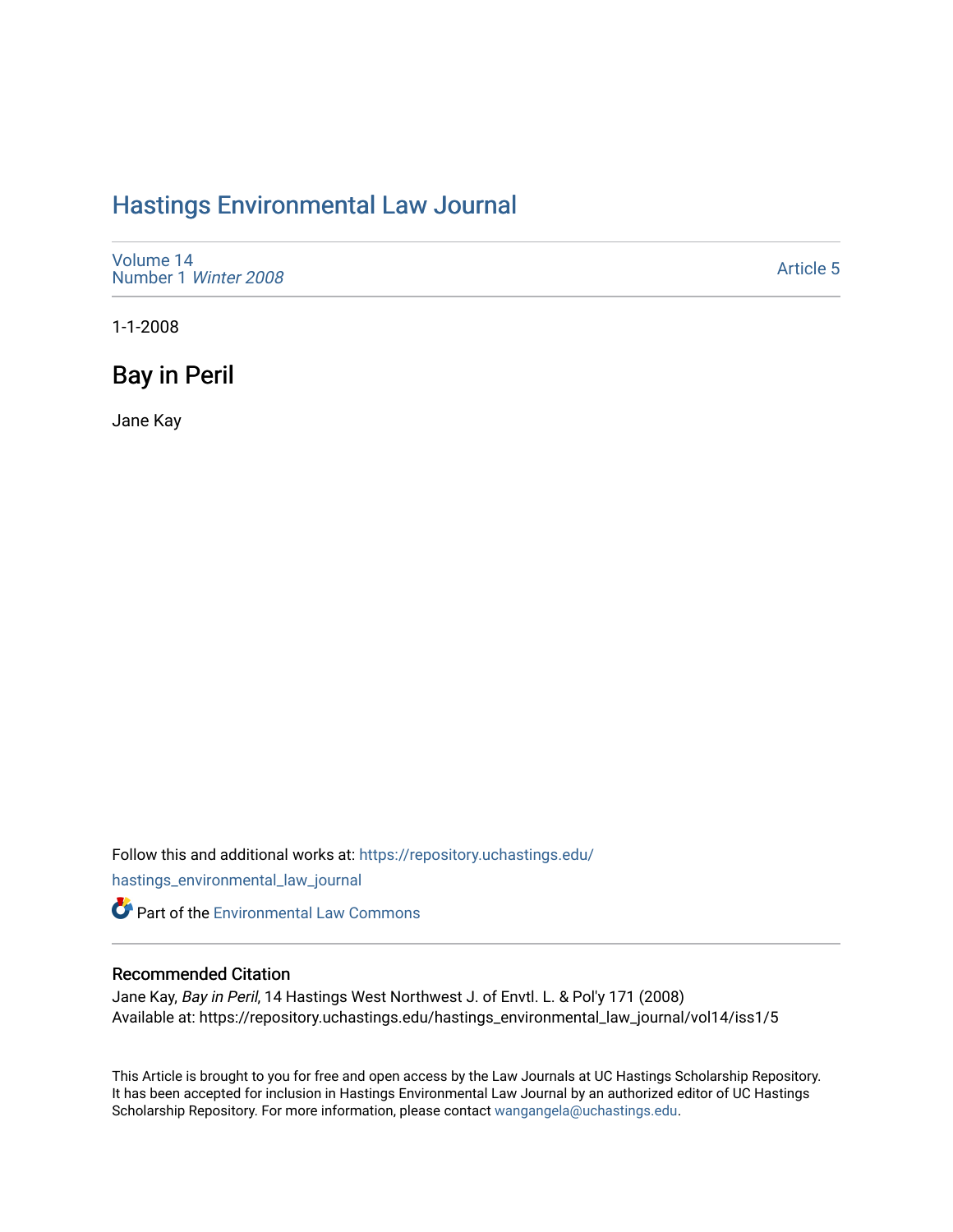# [Hastings Environmental Law Journal](https://repository.uchastings.edu/hastings_environmental_law_journal)

[Volume 14](https://repository.uchastings.edu/hastings_environmental_law_journal/vol14) [Number 1](https://repository.uchastings.edu/hastings_environmental_law_journal/vol14/iss1) Winter 2008

[Article 5](https://repository.uchastings.edu/hastings_environmental_law_journal/vol14/iss1/5) 

1-1-2008

# Bay in Peril

Jane Kay

Follow this and additional works at: [https://repository.uchastings.edu/](https://repository.uchastings.edu/hastings_environmental_law_journal?utm_source=repository.uchastings.edu%2Fhastings_environmental_law_journal%2Fvol14%2Fiss1%2F5&utm_medium=PDF&utm_campaign=PDFCoverPages)

[hastings\\_environmental\\_law\\_journal](https://repository.uchastings.edu/hastings_environmental_law_journal?utm_source=repository.uchastings.edu%2Fhastings_environmental_law_journal%2Fvol14%2Fiss1%2F5&utm_medium=PDF&utm_campaign=PDFCoverPages) 

**Part of the [Environmental Law Commons](http://network.bepress.com/hgg/discipline/599?utm_source=repository.uchastings.edu%2Fhastings_environmental_law_journal%2Fvol14%2Fiss1%2F5&utm_medium=PDF&utm_campaign=PDFCoverPages)** 

# Recommended Citation

Jane Kay, Bay in Peril, 14 Hastings West Northwest J. of Envtl. L. & Pol'y 171 (2008) Available at: https://repository.uchastings.edu/hastings\_environmental\_law\_journal/vol14/iss1/5

This Article is brought to you for free and open access by the Law Journals at UC Hastings Scholarship Repository. It has been accepted for inclusion in Hastings Environmental Law Journal by an authorized editor of UC Hastings Scholarship Repository. For more information, please contact [wangangela@uchastings.edu.](mailto:wangangela@uchastings.edu)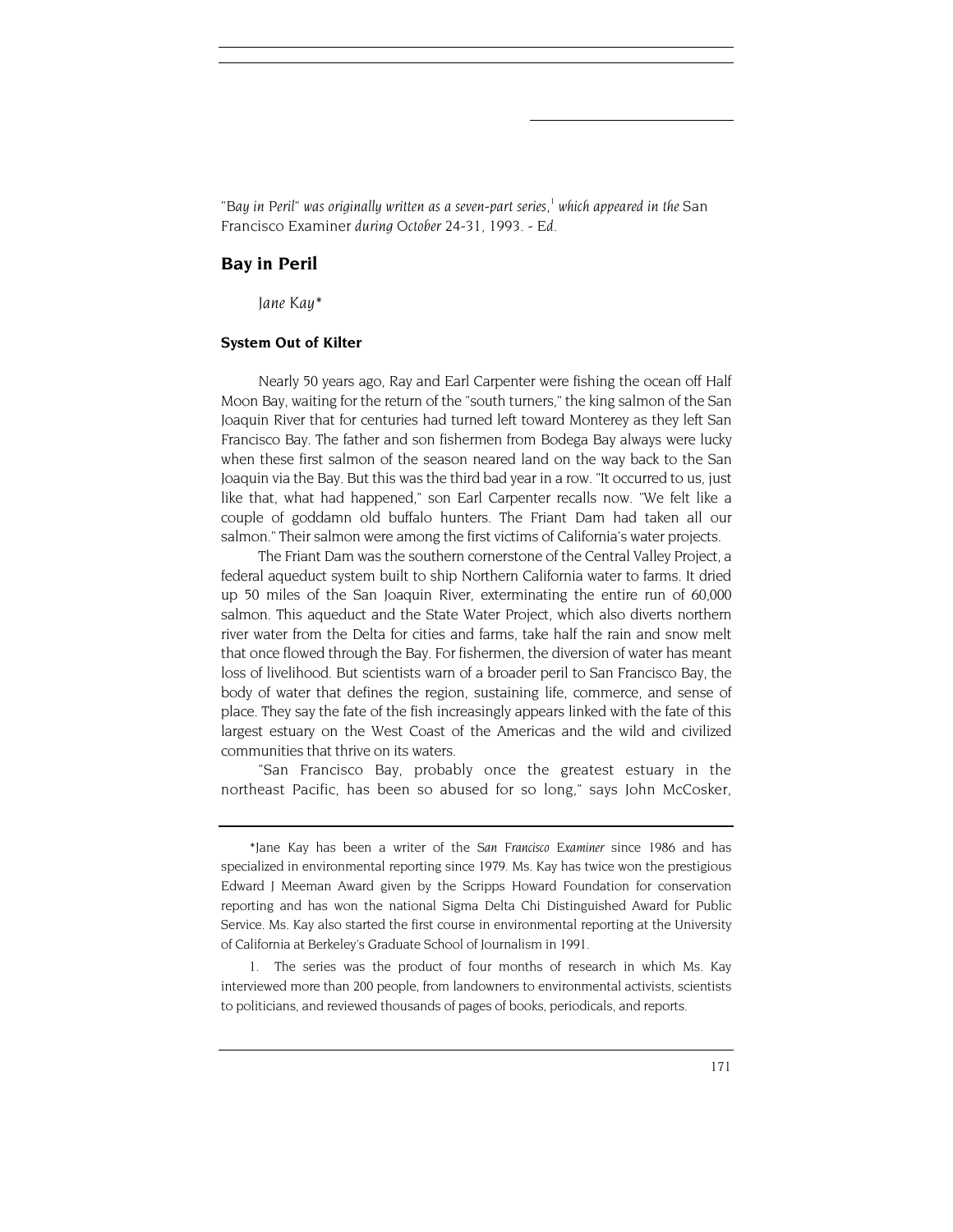"Bay in Peril" was originally written as a seven-part series,<sup>1</sup> which appeared in the San Francisco Examiner *during October 24-31, 1993. - Ed.*

# **Bay in Peril**

 *Jane Kay\**

## **System Out of Kilter**

Nearly 50 years ago, Ray and Earl Carpenter were fishing the ocean off Half Moon Bay, waiting for the return of the "south turners," the king salmon of the San Joaquin River that for centuries had turned left toward Monterey as they left San Francisco Bay. The father and son fishermen from Bodega Bay always were lucky when these first salmon of the season neared land on the way back to the San Joaquin via the Bay. But this was the third bad year in a row. "It occurred to us, just like that, what had happened," son Earl Carpenter recalls now. "We felt like a couple of goddamn old buffalo hunters. The Friant Dam had taken all our salmon." Their salmon were among the first victims of California's water projects.

The Friant Dam was the southern cornerstone of the Central Valley Project, a federal aqueduct system built to ship Northern California water to farms. It dried up 50 miles of the San Joaquin River, exterminating the entire run of 60,000 salmon. This aqueduct and the State Water Project, which also diverts northern river water from the Delta for cities and farms, take half the rain and snow melt that once flowed through the Bay. For fishermen, the diversion of water has meant loss of livelihood. But scientists warn of a broader peril to San Francisco Bay, the body of water that defines the region, sustaining life, commerce, and sense of place. They say the fate of the fish increasingly appears linked with the fate of this largest estuary on the West Coast of the Americas and the wild and civilized communities that thrive on its waters.

"San Francisco Bay, probably once the greatest estuary in the northeast Pacific, has been so abused for so long," says John McCosker,

1. The series was the product of four months of research in which Ms. Kay interviewed more than 200 people, from landowners to environmental activists, scientists to politicians, and reviewed thousands of pages of books, periodicals, and reports.

<sup>\*</sup>Jane Kay has been a writer of the *San Francisco Examiner* since 1986 and has specialized in environmental reporting since 1979. Ms. Kay has twice won the prestigious Edward J Meeman Award given by the Scripps Howard Foundation for conservation reporting and has won the national Sigma Delta Chi Distinguished Award for Public Service. Ms. Kay also started the first course in environmental reporting at the University of California at Berkeley's Graduate School of Journalism in 1991.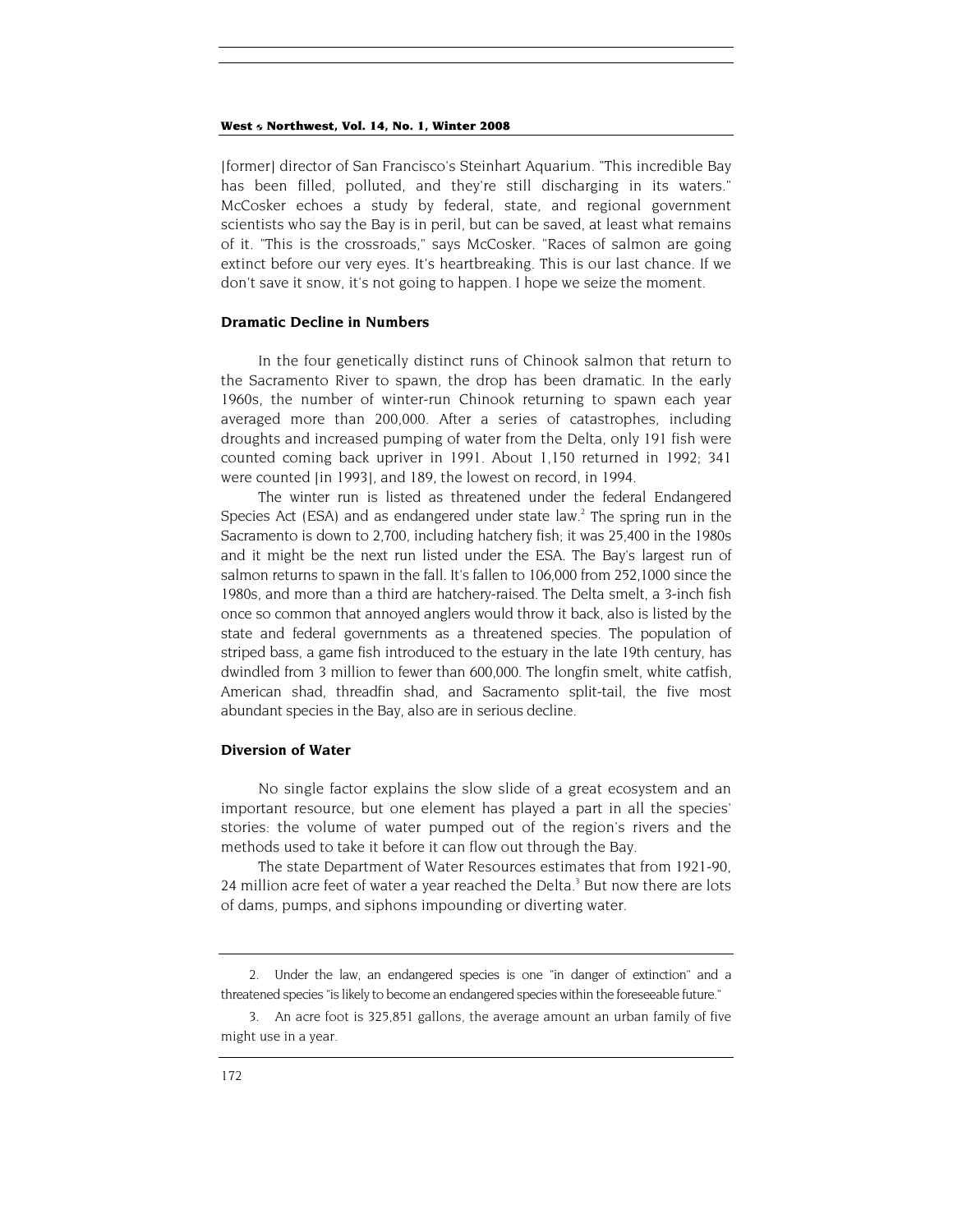#### West 6 Northwest, Vol. 14, No. 1, Winter 2008

[former] director of San Francisco's Steinhart Aquarium. "This incredible Bay has been filled, polluted, and they're still discharging in its waters." McCosker echoes a study by federal, state, and regional government scientists who say the Bay is in peril, but can be saved, at least what remains of it. "This is the crossroads," says McCosker. "Races of salmon are going extinct before our very eyes. It's heartbreaking. This is our last chance. If we don't save it snow, it's not going to happen. I hope we seize the moment.

### **Dramatic Decline in Numbers**

In the four genetically distinct runs of Chinook salmon that return to the Sacramento River to spawn, the drop has been dramatic. In the early 1960s, the number of winter-run Chinook returning to spawn each year averaged more than 200,000. After a series of catastrophes, including droughts and increased pumping of water from the Delta, only 191 fish were counted coming back upriver in 1991. About 1,150 returned in 1992; 341 were counted [in 1993], and 189, the lowest on record, in 1994.

The winter run is listed as threatened under the federal Endangered Species Act (ESA) and as endangered under state law.<sup>2</sup> The spring run in the Sacramento is down to 2,700, including hatchery fish; it was 25,400 in the 1980s and it might be the next run listed under the ESA. The Bay's largest run of salmon returns to spawn in the fall. It's fallen to 106,000 from 252,1000 since the 1980s, and more than a third are hatchery-raised. The Delta smelt, a 3-inch fish once so common that annoyed anglers would throw it back, also is listed by the state and federal governments as a threatened species. The population of striped bass, a game fish introduced to the estuary in the late 19th century, has dwindled from 3 million to fewer than 600,000. The longfin smelt, white catfish, American shad, threadfin shad, and Sacramento split-tail, the five most abundant species in the Bay, also are in serious decline.

#### **Diversion of Water**

No single factor explains the slow slide of a great ecosystem and an important resource, but one element has played a part in all the species' stories: the volume of water pumped out of the region's rivers and the methods used to take it before it can flow out through the Bay.

The state Department of Water Resources estimates that from 1921-90, 24 million acre feet of water a year reached the Delta. $3$  But now there are lots of dams, pumps, and siphons impounding or diverting water.

<sup>2.</sup> Under the law, an endangered species is one "in danger of extinction" and a threatened species "is likely to become an endangered species within the foreseeable future."

<sup>3.</sup> An acre foot is 325,851 gallons, the average amount an urban family of five might use in a year.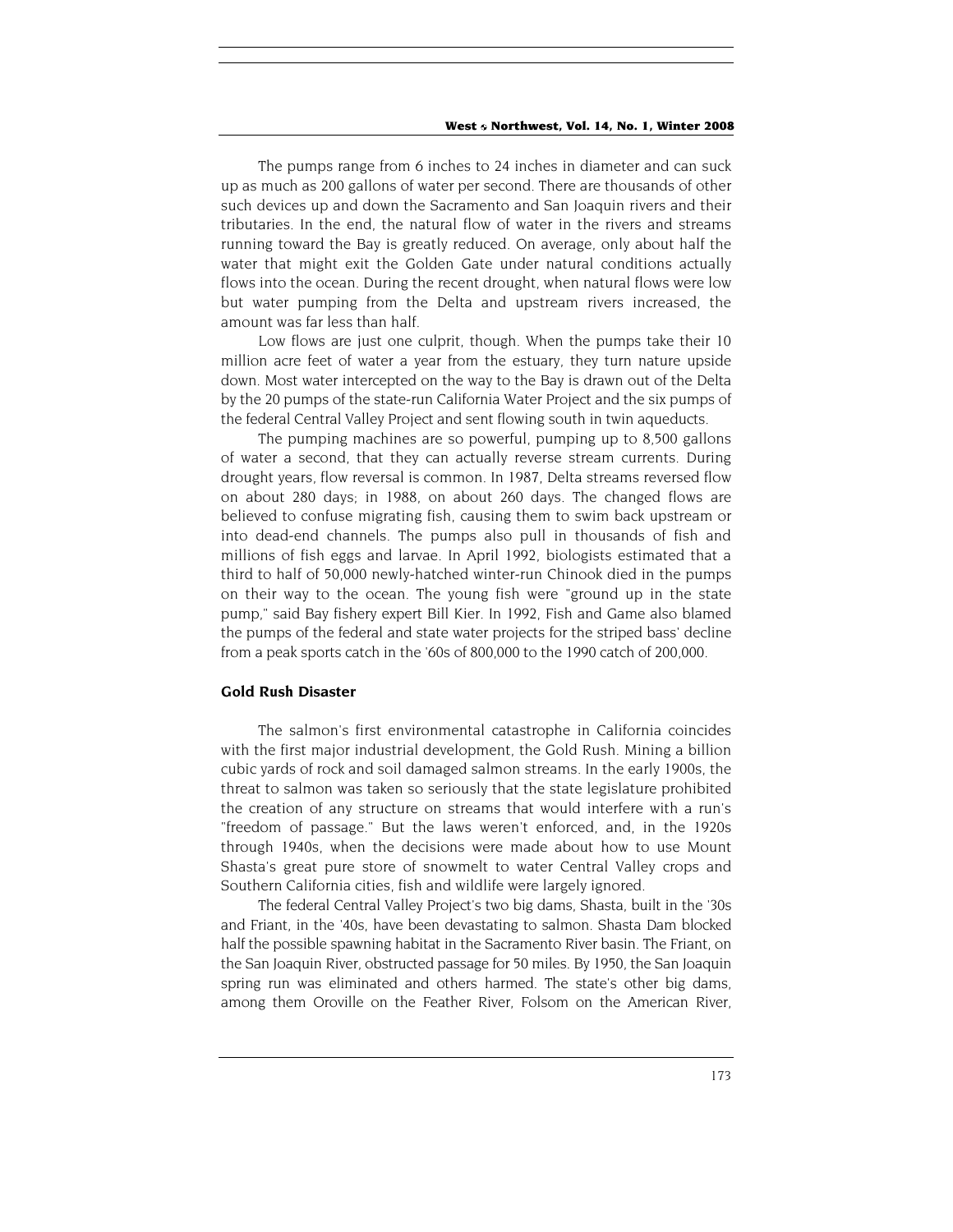The pumps range from 6 inches to 24 inches in diameter and can suck up as much as 200 gallons of water per second. There are thousands of other such devices up and down the Sacramento and San Joaquin rivers and their tributaries. In the end, the natural flow of water in the rivers and streams running toward the Bay is greatly reduced. On average, only about half the water that might exit the Golden Gate under natural conditions actually flows into the ocean. During the recent drought, when natural flows were low but water pumping from the Delta and upstream rivers increased, the amount was far less than half.

Low flows are just one culprit, though. When the pumps take their 10 million acre feet of water a year from the estuary, they turn nature upside down. Most water intercepted on the way to the Bay is drawn out of the Delta by the 20 pumps of the state-run California Water Project and the six pumps of the federal Central Valley Project and sent flowing south in twin aqueducts.

The pumping machines are so powerful, pumping up to 8,500 gallons of water a second, that they can actually reverse stream currents. During drought years, flow reversal is common. In 1987, Delta streams reversed flow on about 280 days; in 1988, on about 260 days. The changed flows are believed to confuse migrating fish, causing them to swim back upstream or into dead-end channels. The pumps also pull in thousands of fish and millions of fish eggs and larvae. In April 1992, biologists estimated that a third to half of 50,000 newly-hatched winter-run Chinook died in the pumps on their way to the ocean. The young fish were "ground up in the state pump," said Bay fishery expert Bill Kier. In 1992, Fish and Game also blamed the pumps of the federal and state water projects for the striped bass' decline from a peak sports catch in the '60s of 800,000 to the 1990 catch of 200,000.

# **Gold Rush Disaster**

The salmon's first environmental catastrophe in California coincides with the first major industrial development, the Gold Rush. Mining a billion cubic yards of rock and soil damaged salmon streams. In the early 1900s, the threat to salmon was taken so seriously that the state legislature prohibited the creation of any structure on streams that would interfere with a run's "freedom of passage." But the laws weren't enforced, and, in the 1920s through 1940s, when the decisions were made about how to use Mount Shasta's great pure store of snowmelt to water Central Valley crops and Southern California cities, fish and wildlife were largely ignored.

The federal Central Valley Project's two big dams, Shasta, built in the '30s and Friant, in the '40s, have been devastating to salmon. Shasta Dam blocked half the possible spawning habitat in the Sacramento River basin. The Friant, on the San Joaquin River, obstructed passage for 50 miles. By 1950, the San Joaquin spring run was eliminated and others harmed. The state's other big dams, among them Oroville on the Feather River, Folsom on the American River,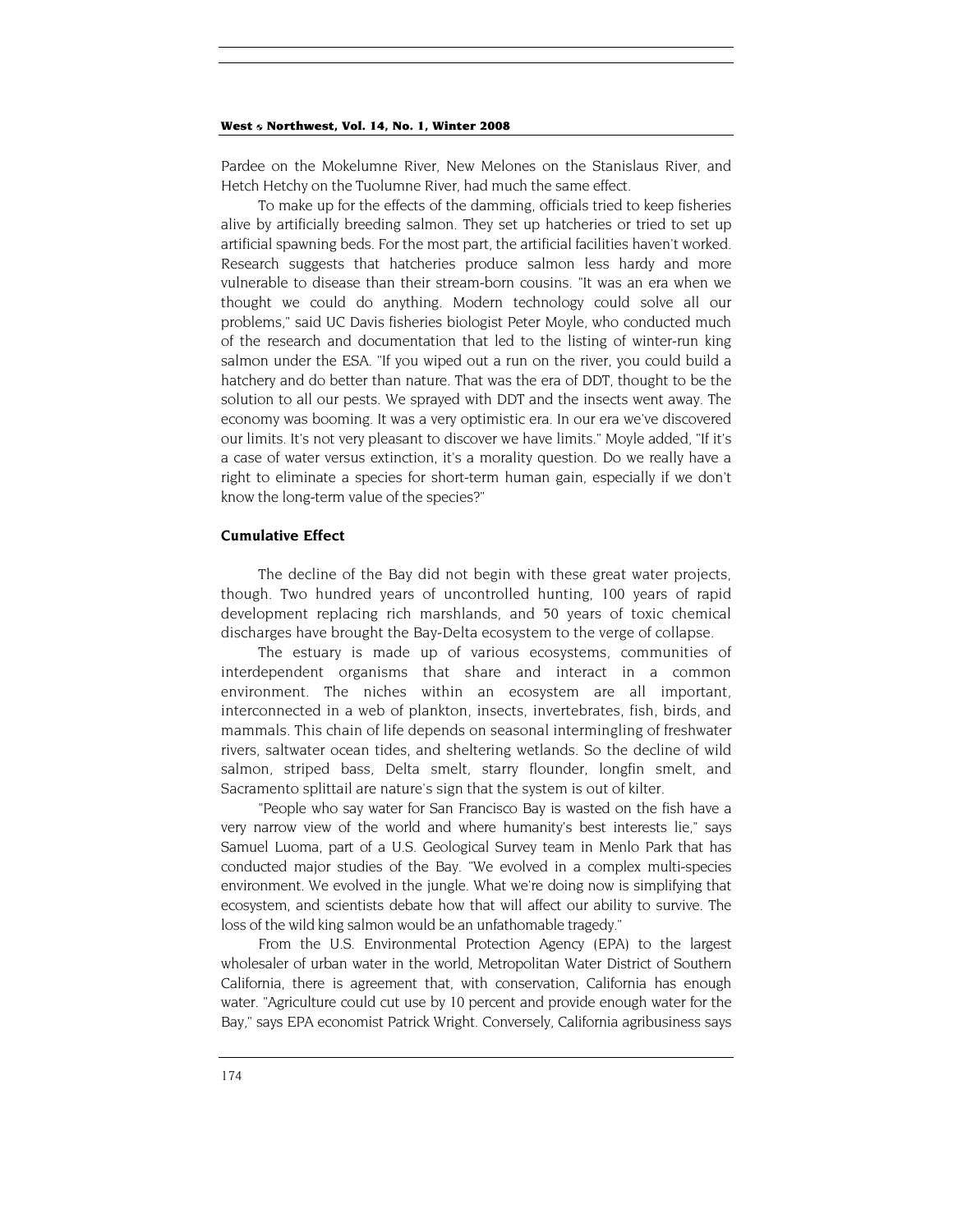#### West 6 Northwest, Vol. 14, No. 1, Winter 2008

Pardee on the Mokelumne River, New Melones on the Stanislaus River, and Hetch Hetchy on the Tuolumne River, had much the same effect.

To make up for the effects of the damming, officials tried to keep fisheries alive by artificially breeding salmon. They set up hatcheries or tried to set up artificial spawning beds. For the most part, the artificial facilities haven't worked. Research suggests that hatcheries produce salmon less hardy and more vulnerable to disease than their stream-born cousins. "It was an era when we thought we could do anything. Modern technology could solve all our problems," said UC Davis fisheries biologist Peter Moyle, who conducted much of the research and documentation that led to the listing of winter-run king salmon under the ESA. "If you wiped out a run on the river, you could build a hatchery and do better than nature. That was the era of DDT, thought to be the solution to all our pests. We sprayed with DDT and the insects went away. The economy was booming. It was a very optimistic era. In our era we've discovered our limits. It's not very pleasant to discover we have limits." Moyle added, "If it's a case of water versus extinction, it's a morality question. Do we really have a right to eliminate a species for short-term human gain, especially if we don't know the long-term value of the species?"

#### **Cumulative Effect**

The decline of the Bay did not begin with these great water projects, though. Two hundred years of uncontrolled hunting, 100 years of rapid development replacing rich marshlands, and 50 years of toxic chemical discharges have brought the Bay-Delta ecosystem to the verge of collapse.

The estuary is made up of various ecosystems, communities of interdependent organisms that share and interact in a common environment. The niches within an ecosystem are all important, interconnected in a web of plankton, insects, invertebrates, fish, birds, and mammals. This chain of life depends on seasonal intermingling of freshwater rivers, saltwater ocean tides, and sheltering wetlands. So the decline of wild salmon, striped bass, Delta smelt, starry flounder, longfin smelt, and Sacramento splittail are nature's sign that the system is out of kilter.

"People who say water for San Francisco Bay is wasted on the fish have a very narrow view of the world and where humanity's best interests lie," says Samuel Luoma, part of a U.S. Geological Survey team in Menlo Park that has conducted major studies of the Bay. "We evolved in a complex multi-species environment. We evolved in the jungle. What we're doing now is simplifying that ecosystem, and scientists debate how that will affect our ability to survive. The loss of the wild king salmon would be an unfathomable tragedy."

From the U.S. Environmental Protection Agency (EPA) to the largest wholesaler of urban water in the world, Metropolitan Water District of Southern California, there is agreement that, with conservation, California has enough water. "Agriculture could cut use by 10 percent and provide enough water for the Bay," says EPA economist Patrick Wright. Conversely, California agribusiness says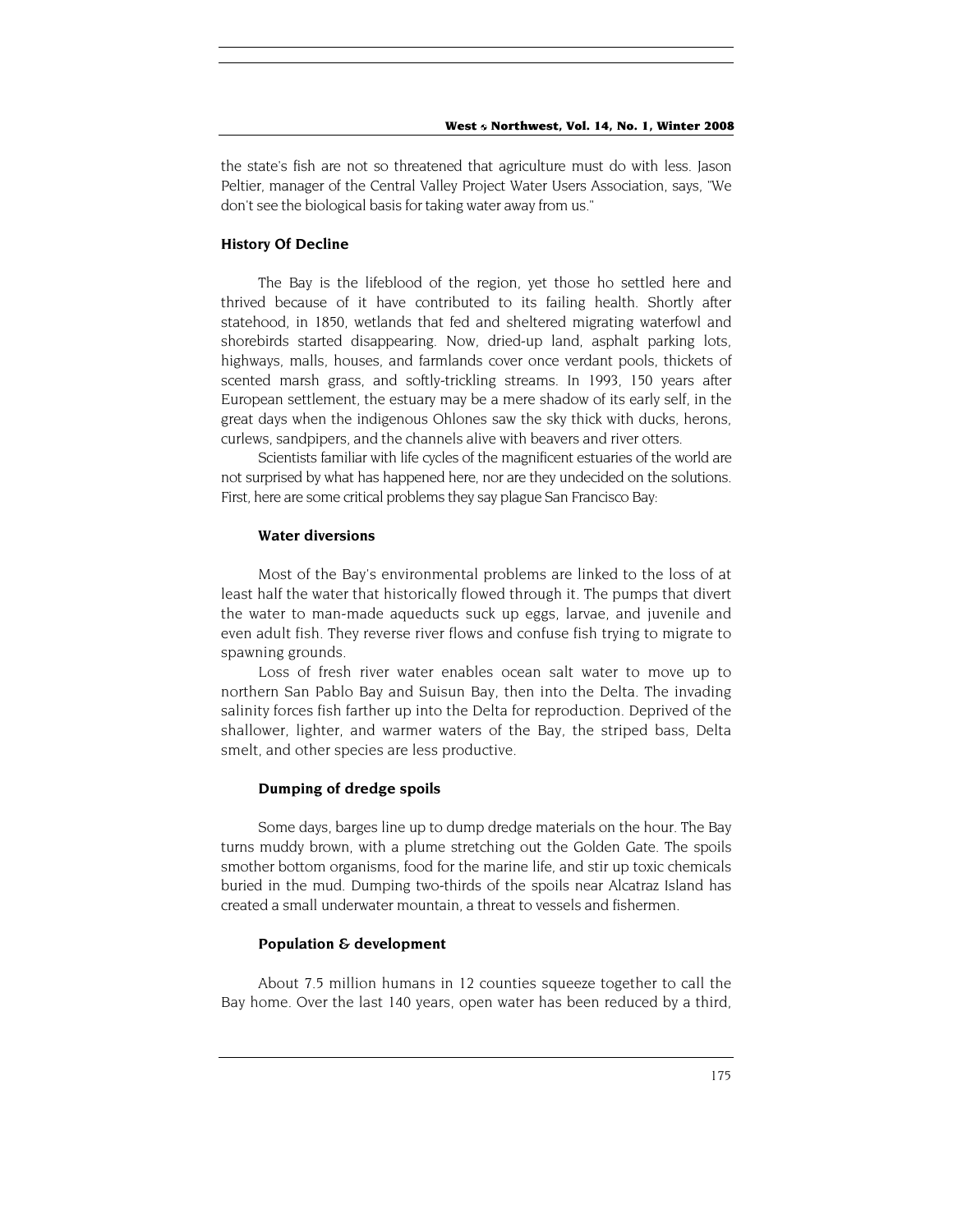the state's fish are not so threatened that agriculture must do with less. Jason Peltier, manager of the Central Valley Project Water Users Association, says, "We don't see the biological basis for taking water away from us."

#### **History Of Decline**

The Bay is the lifeblood of the region, yet those ho settled here and thrived because of it have contributed to its failing health. Shortly after statehood, in 1850, wetlands that fed and sheltered migrating waterfowl and shorebirds started disappearing. Now, dried-up land, asphalt parking lots, highways, malls, houses, and farmlands cover once verdant pools, thickets of scented marsh grass, and softly-trickling streams. In 1993, 150 years after European settlement, the estuary may be a mere shadow of its early self, in the great days when the indigenous Ohlones saw the sky thick with ducks, herons, curlews, sandpipers, and the channels alive with beavers and river otters.

Scientists familiar with life cycles of the magnificent estuaries of the world are not surprised by what has happened here, nor are they undecided on the solutions. First, here are some critical problems they say plague San Francisco Bay:

#### **Water diversions**

Most of the Bay's environmental problems are linked to the loss of at least half the water that historically flowed through it. The pumps that divert the water to man-made aqueducts suck up eggs, larvae, and juvenile and even adult fish. They reverse river flows and confuse fish trying to migrate to spawning grounds.

Loss of fresh river water enables ocean salt water to move up to northern San Pablo Bay and Suisun Bay, then into the Delta. The invading salinity forces fish farther up into the Delta for reproduction. Deprived of the shallower, lighter, and warmer waters of the Bay, the striped bass, Delta smelt, and other species are less productive.

# **Dumping of dredge spoils**

Some days, barges line up to dump dredge materials on the hour. The Bay turns muddy brown, with a plume stretching out the Golden Gate. The spoils smother bottom organisms, food for the marine life, and stir up toxic chemicals buried in the mud. Dumping two-thirds of the spoils near Alcatraz Island has created a small underwater mountain, a threat to vessels and fishermen.

## **Population & development**

About 7.5 million humans in 12 counties squeeze together to call the Bay home. Over the last 140 years, open water has been reduced by a third,